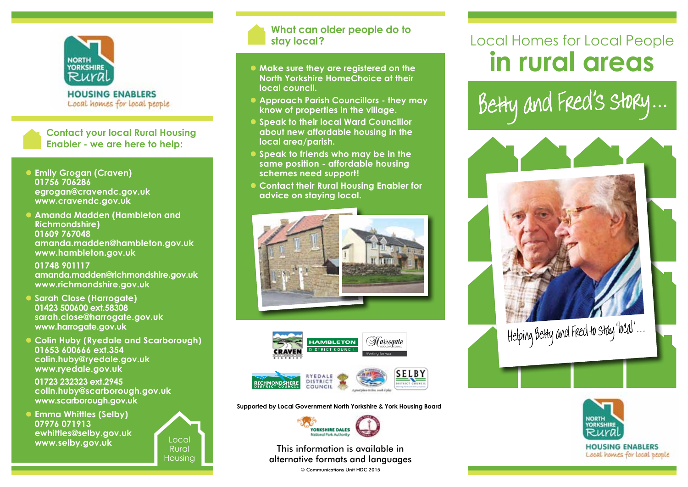

**HOUSING ENABLERS** Local homes for local people

**Contact your local Rural Housing Enabler - we are here to help:**

- **Emily Grogan (Craven) 01756 706286 egrogan@cravendc.gov.uk www.cravendc.gov.uk**
- **Amanda Madden (Hambleton and Richmondshire) 01609 767048 amanda.madden@hambleton.gov.uk www.hambleton.gov.uk**

 **01748 901117 amanda.madden@richmondshire.gov.uk www.richmondshire.gov.uk**

- **Sarah Close (Harrogate) 01423 500600 ext.58308 sarah.close@harrogate.gov.uk www.harrogate.gov.uk**
- **Colin Huby (Ryedale and Scarborough) 01653 600666 ext.354 colin.huby@ryedale.gov.uk www.ryedale.gov.uk**

 **01723 232323 ext.2945 colin.huby@scarborough.gov.uk www.scarborough.gov.uk**

**Emma Whittles (Selby) 07976 071913 ewhittles@selby.gov.uk www.selby.gov.uk**



### **What can older people do to stay local?**

- $\bullet$  Make sure they are registered on the **North Yorkshire HomeChoice at their local council.**
- **Approach Parish Councillors they may know of properties in the village.**
- **Speak to their local Ward Councillor about new affordable housing in the local area/parish.**
- **Speak to friends who may be in the same position - affordable housing schemes need support!**
- **Contact their Rural Housing Enabler for advice on staying local.**





**Supported by Local Government North Yorkshire & York Housing Board**



This information is available in alternative formats and languages

© Communications Unit HDC 2015

# Local Homes for Local People **in rural areas**

Betty and Fred's story...





Local homes for local people